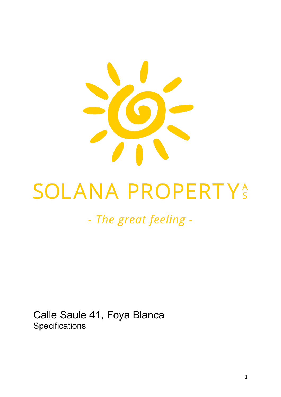

# **SOLANA PROPERTYS**

# - The great feeling -

Calle Saule 41, Foya Blanca **Specifications**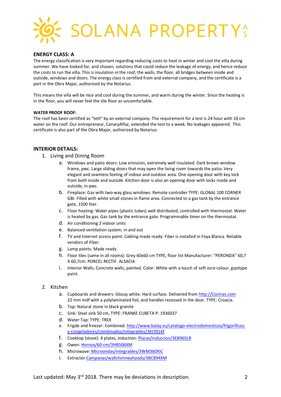

# **ENERGY CLASS: A**

The energy classification is very important regarding reducing costs to heat in winter and cool the villa during summer. We have looked for, and chosen, solutions that could reduce the leakage of energy, and hence reduce the costs to run the villa. This is insulation in the roof, the walls, the floor, all bridges between inside and outside, windows and doors. The energy class is certified from and external company, and the certificate is a part in the Obra Major, authorized by the Notarius.

This means the villa will be nice and cool during the summer, and warm during the winter. Since the heating is in the floor, you will never feel the tile floor as uncomfortable.

#### **WATER PROOF ROOF:**

The roof has been certified as "tett" by an external company. The requirement for a test is 24 hour with 10 cm water on the roof. Our entrepreneur, CanaryAlfaz, extended the test to a week. No leakages appeared. This certificate is also part of the Obra Major, authorized by Notarius.

#### **INTERIOR DETAILS:**

- 1. Living and Dining Room
	- a. Windows and patio doors: Low emission, extremely well insulated. Dark brown window frame, pwc. Large sliding doors that may open the living room towards the patio. Very elegant and seamless feeling of indoor and outdoor area. One opening door with key lock from both inside and outside. Kitchen door is also an opening door with locks inside and outside, in pwc.
	- b. Fireplace: Gas with two-way glass windows. Remote controller TYPE: GLOBAL 100 CORNER GBI. Filled with white small stones in flame area. Connected to a gas tank by the entrance gate, 1500 liter.
	- c. Floor heating: Water pipes (plastic tubes) well distributed, controlled with thermostat. Water is heated by gas. Gas tank by the entrance gate. Programmable timer on the thermostat.
	- d. Air conditioning 2 indoor units
	- e. Balanced ventilation system, in and out
	- f. TV and Internet access point: Cabling made ready. Fiber is installed in Foya Blanca. Reliable vendors of Fiber.
	- g. Lamp points: Made ready
	- h. Floor tiles (same in all rooms): Grey 60x60 cm TYPE, floor list Manufacturer: "PERONDA" 60,7 X 60,7cm: PORCEL RECTIF. ALSACIA
	- i. Interior Walls: Concrete walls, painted. Color: White with a touch of soft ocre colour, gipstype paint.

#### 2. Kitchen

- a. Cupboards and drawers: Glossy white. Hard surface. Delivered from http://Cocinas.com 22 mm mdf with a polylaminated foil, and handles recessed in the door. TYPE: Croacia.
- b. Top: Natural stone in black granite
- c. Sink: Steel sink 50 cm, TYPE: FRANKE CUBETA P: 1936037
- d. Water Tap: TYPE: TREX
- e. Frigde and freezer: Combined. http://www.balay.es/catalogo-electrodomesticos/frigorificosy-congeladores/combinados/integrables/3KI7014F
- f. Cooktop (stove): 4 plates, induction: Placas/induccion/3EB965LR
- g. Owen: Hornos/60-cm/3HB506XM
- h. Microwave: Microondas/integrables/3WM360XIC
- i. Extractor:Campanas/wallchimneyhoods/3BC894XM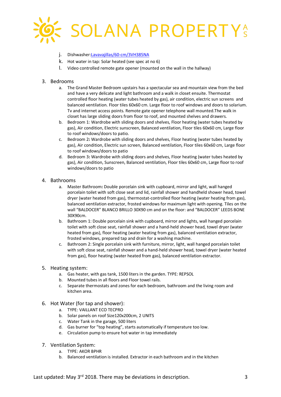

- j. Dishwasher:Lavavajillas/60-cm/3VH385NA
- k. Hot water in tap: Solar heated (see spec at no 6)
- l. Video controlled remote gate opener (mounted on the wall in the hallway)

# 3. Bedrooms

- a. The Grand Master Bedroom upstairs has a spectacular sea and mountain view from the bed and have a very delicate and light bathroom and a walk in closet ensuite. Thermostat controlled floor heating (water tubes heated by gas), air condition, electric sun screens and balanced ventilation. Floor tiles 60x60 cm. Large floor to roof windows and doors to solarium. Tv and internet access points. Remote gate opener telephone wall mounted.The walk in closet has large sliding doors from floor to roof, and mounted shelves and drawers.
- b. Bedroom 1: Wardrobe with sliding doors and shelves, Floor heating (water tubes heated by gas), Air condition, Electric sunscreen, Balanced ventilation, Floor tiles 60x60 cm, Large floor to roof windows/doors to patio.
- c. Bedroom 2**:** Wardrobe with sliding doors and shelves, Floor heating (water tubes heated by gas), Air condition, Electric sun screen, Balanced ventilation, Floor tiles 60x60 cm, Large floor to roof windows/doors to patio
- d. Bedroom 3**:** Wardrobe with sliding doors and shelves, Floor heating (water tubes heated by gas), Air condition, Sunscreen, Balanced ventilation, Floor tiles 60x60 cm, Large floor to roof windows/doors to patio

# 4. Bathrooms

- a. Master Bathroom**:** Double porcelain sink with cupboard, mirror and light, wall hanged porcelain toilet with soft close seat and lid, rainfall shower and handheld shower head, towel dryer (water heated from gas), thermostat-controlled floor heating (water heating from gas), balanced ventilation extractor, frosted windows for maximum light with opening. Tiles on the wall "BALDOCER" BLANCO BRILLO 30X90 cm and on the floor: and "BALDOCER" LEEDS BONE 30X90cm.
- b. Bathroom 1: Double porcelain sink with cupboard, mirror and lights, wall hanged porcelain toilet with soft close seat, rainfall shower and a hand-held shower head, towel dryer (water heated from gas), floor heating (water heating from gas), balanced ventilation extractor, frosted windows, prepared tap and drain for a washing machine.
- c. Bathroom 2: Single porcelain sink with furniture, mirror, light, wall hanged porcelain toilet with soft close seat, rainfall shower and a hand-held shower head, towel dryer (water heated from gas), floor heating (water heated from gas), balanced ventilation extractor.

# 5. Heating system:

- a. Gas heater, with gas tank, 1500 liters in the garden. TYPE: REPSOL
- b. Mounted tubes in all floors and Floor towel rails.
- c. Separate thermostats and zones for each bedroom, bathroom and the living room and kitchen area.
- 6. Hot Water (for tap and shower):
	- a. TYPE: VAILLANT ECO TECPRO
	- b. Solar panels on roof Size120x200cm, 2 UNITS
	- c. Water Tank in the garage, 500 liters
	- d. Gas burner for "top heating", starts automatically if temperature too low.
	- e. Circulation pump to ensure hot water in tap immediately
- 7. Ventilation System:
	- a. TYPE: AKOR BPHR
	- b. Balanced ventilation is installed. Extractor in each bathroom and in the kitchen

Last updated: May  $3<sup>rd</sup>$  2018. There may be deviations in description.  $\qquad \qquad$  3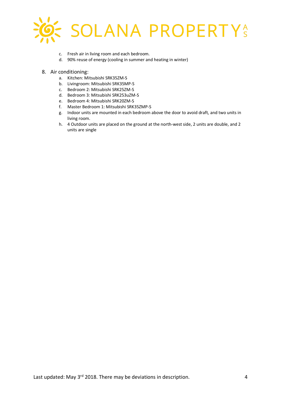

- c. Fresh air in living room and each bedroom.
- d. 90% reuse of energy (cooling in summer and heating in winter)
- 8. Air conditioning:
	- a. Kitchen: Mitsubishi SRK35ZM-S
	- b. Livingroom: Mitsubishi SRK35MP-S
	- c. Bedroom 2: Mitsubishi SRK25ZM-S
	- d. Bedroom 3: Mitsubishi SRK253uZM-S
	- e. Bedroom 4: Mitsubishi SRK20ZM-S
	- f. Master Bedroom 1: Mitsubishi SRK35ZMP-S
	- g. Indoor units are mounted in each bedroom above the door to avoid draft, and two units in living room.
	- h. 4 Outdoor units are placed on the ground at the north-west side, 2 units are double, and 2 units are single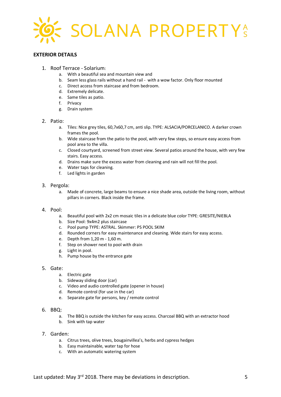

# **EXTERIOR DETAILS**

- 1. Roof Terrace Solarium:
	- a. With a beautiful sea and mountain view and
	- b. Seam less glass rails without a hand rail with a wow factor. Only floor mounted
	- c. Direct access from staircase and from bedroom.
	- d. Extremely delicate.
	- e. Same tiles as patio.
	- f. Privacy
	- g. Drain system

# 2. Patio:

- a. Tiles: Nice grey tiles, 60,7x60,7 cm, anti slip. TYPE: ALSACIA/PORCELANICO. A darker crown frames the pool.
- b. Wide staircase from the patio to the pool, with very few steps, so ensure easy access from pool area to the villa.
- c. Closed courtyard, screened from street view. Several patios around the house, with very few stairs. Easy access.
- d. Drains make sure the excess water from cleaning and rain will not fill the pool.
- e. Water taps for cleaning.
- f. Led lights in garden

# 3. Pergola:

a. Made of concrete, large beams to ensure a nice shade area, outside the living room, without pillars in corners. Black inside the frame.

#### 4. Pool:

- a. Beautiful pool with 2x2 cm mosaic tiles in a delicate blue color TYPE: GRESITE/NIEBLA
- b. Size Pool: 9x4m2 plus staircase
- c. Pool pump TYPE: ASTRAL. Skimmer: PS POOL SKIM
- d. Rounded corners for easy maintenance and cleaning. Wide stairs for easy access.
- e. Depth from 1,20 m 1,60 m.
- f. Step on shower next to pool with drain
- g. Light in pool.
- h. Pump house by the entrance gate

### 5. Gate:

- a. Electric gate
- b. Sideway sliding door (car)
- c. Video and audio controlled gate (opener in house)
- d. Remote control (for use in the car)
- e. Separate gate for persons, key / remote control

#### 6. BBQ:

- a. The BBQ is outside the kitchen for easy access. Charcoal BBQ with an extractor hood
- b. Sink with tap water

# 7. Garden:

- a. Citrus trees, olive trees, bougainvillea's, herbs and cypress hedges
- b. Easy maintainable, water tap for hose
- c. With an automatic watering system